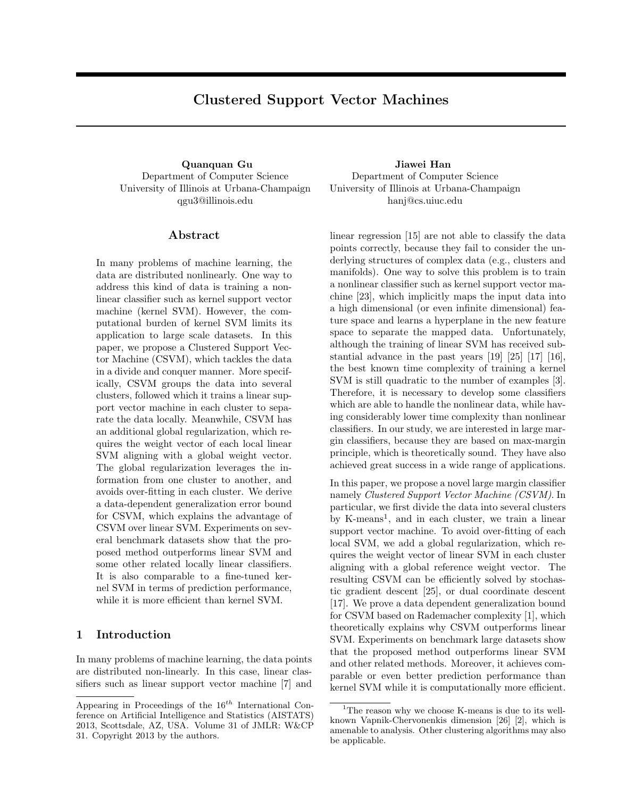# **Clustered Support Vector Machines**

Department of Computer Science University of Illinois at Urbana-Champaign qgu3@illinois.edu

# **Abstract**

In many problems of machine learning, the data are distributed nonlinearly. One way to address this kind of data is training a nonlinear classifier such as kernel support vector machine (kernel SVM). However, the computational burden of kernel SVM limits its application to large scale datasets. In this paper, we propose a Clustered Support Vector Machine (CSVM), which tackles the data in a divide and conquer manner. More specifically, CSVM groups the data into several clusters, followed which it trains a linear support vector machine in each cluster to separate the data locally. Meanwhile, CSVM has an additional global regularization, which requires the weight vector of each local linear SVM aligning with a global weight vector. The global regularization leverages the information from one cluster to another, and avoids over-fitting in each cluster. We derive a data-dependent generalization error bound for CSVM, which explains the advantage of CSVM over linear SVM. Experiments on several benchmark datasets show that the proposed method outperforms linear SVM and some other related locally linear classifiers. It is also comparable to a fine-tuned kernel SVM in terms of prediction performance, while it is more efficient than kernel SVM.

# **1 Introduction**

In many problems of machine learning, the data points are distributed non-linearly. In this case, linear classifiers such as linear support vector machine [7] and

**Quanquan Gu Jiawei Han** Department of Computer Science University of Illinois at Urbana-Champaign hanj@cs.uiuc.edu

> linear regression [15] are not able to classify the data points correctly, because they fail to consider the underlying structures of complex data (e.g., clusters and manifolds). One way to solve this problem is to train a nonlinear classifier such as kernel support vector machine [23], which implicitly maps the input data into a high dimensional (or even infinite dimensional) feature space and learns a hyperplane in the new feature space to separate the mapped data. Unfortunately, although the training of linear SVM has received substantial advance in the past years [19] [25] [17] [16], the best known time complexity of training a kernel SVM is still quadratic to the number of examples [3]. Therefore, it is necessary to develop some classifiers which are able to handle the nonlinear data, while having considerably lower time complexity than nonlinear classifiers. In our study, we are interested in large margin classifiers, because they are based on max-margin principle, which is theoretically sound. They have also achieved great success in a wide range of applications.

> In this paper, we propose a novel large margin classifier namely *Clustered Support Vector Machine (CSVM)*. In particular, we first divide the data into several clusters by K-means<sup>1</sup>, and in each cluster, we train a linear support vector machine. To avoid over-fitting of each local SVM, we add a global regularization, which requires the weight vector of linear SVM in each cluster aligning with a global reference weight vector. The resulting CSVM can be efficiently solved by stochastic gradient descent [25], or dual coordinate descent [17]. We prove a data dependent generalization bound for CSVM based on Rademacher complexity [1], which theoretically explains why CSVM outperforms linear SVM. Experiments on benchmark large datasets show that the proposed method outperforms linear SVM and other related methods. Moreover, it achieves comparable or even better prediction performance than kernel SVM while it is computationally more efficient.

Appearing in Proceedings of the 16*th* International Conference on Artificial Intelligence and Statistics (AISTATS) 2013, Scottsdale, AZ, USA. Volume 31 of JMLR: W&CP 31. Copyright 2013 by the authors.

<sup>&</sup>lt;sup>1</sup>The reason why we choose K-means is due to its wellknown Vapnik-Chervonenkis dimension [26] [2], which is amenable to analysis. Other clustering algorithms may also be applicable.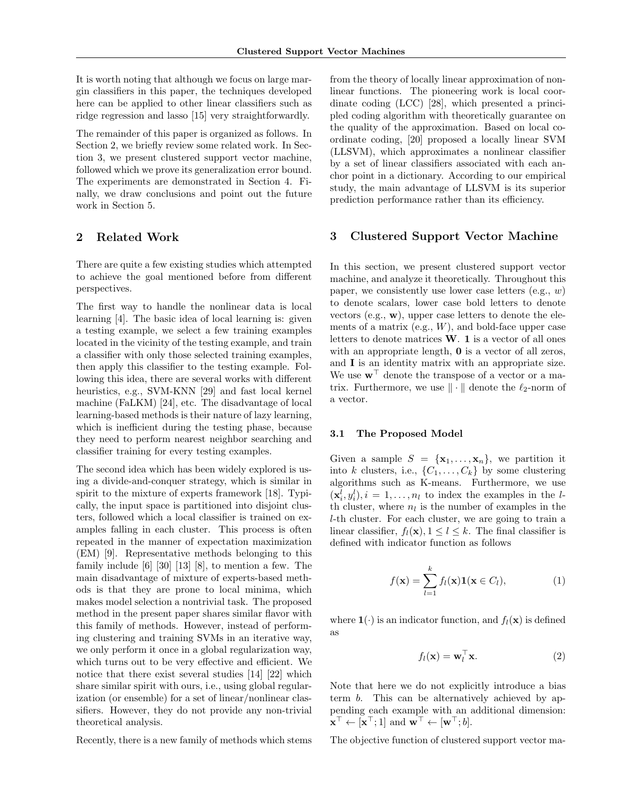It is worth noting that although we focus on large margin classifiers in this paper, the techniques developed here can be applied to other linear classifiers such as ridge regression and lasso [15] very straightforwardly.

The remainder of this paper is organized as follows. In Section 2, we briefly review some related work. In Section 3, we present clustered support vector machine, followed which we prove its generalization error bound. The experiments are demonstrated in Section 4. Finally, we draw conclusions and point out the future work in Section 5.

# **2 Related Work**

There are quite a few existing studies which attempted to achieve the goal mentioned before from different perspectives.

The first way to handle the nonlinear data is local learning [4]. The basic idea of local learning is: given a testing example, we select a few training examples located in the vicinity of the testing example, and train a classifier with only those selected training examples, then apply this classifier to the testing example. Following this idea, there are several works with different heuristics, e.g., SVM-KNN [29] and fast local kernel machine (FaLKM) [24], etc. The disadvantage of local learning-based methods is their nature of lazy learning, which is inefficient during the testing phase, because they need to perform nearest neighbor searching and classifier training for every testing examples.

The second idea which has been widely explored is using a divide-and-conquer strategy, which is similar in spirit to the mixture of experts framework [18]. Typically, the input space is partitioned into disjoint clusters, followed which a local classifier is trained on examples falling in each cluster. This process is often repeated in the manner of expectation maximization (EM) [9]. Representative methods belonging to this family include [6] [30] [13] [8], to mention a few. The main disadvantage of mixture of experts-based methods is that they are prone to local minima, which makes model selection a nontrivial task. The proposed method in the present paper shares similar flavor with this family of methods. However, instead of performing clustering and training SVMs in an iterative way, we only perform it once in a global regularization way, which turns out to be very effective and efficient. We notice that there exist several studies [14] [22] which share similar spirit with ours, i.e., using global regularization (or ensemble) for a set of linear/nonlinear classifiers. However, they do not provide any non-trivial theoretical analysis.

Recently, there is a new family of methods which stems

from the theory of locally linear approximation of nonlinear functions. The pioneering work is local coordinate coding (LCC) [28], which presented a principled coding algorithm with theoretically guarantee on the quality of the approximation. Based on local coordinate coding, [20] proposed a locally linear SVM (LLSVM), which approximates a nonlinear classifier by a set of linear classifiers associated with each anchor point in a dictionary. According to our empirical study, the main advantage of LLSVM is its superior prediction performance rather than its efficiency.

# **3 Clustered Support Vector Machine**

In this section, we present clustered support vector machine, and analyze it theoretically. Throughout this paper, we consistently use lower case letters (e.g., *w*) to denote scalars, lower case bold letters to denote vectors (e.g., **w**), upper case letters to denote the elements of a matrix (e.g., *W*), and bold-face upper case letters to denote matrices **W**. **1** is a vector of all ones with an appropriate length, **0** is a vector of all zeros, and **I** is an identity matrix with an appropriate size. We use **w***<sup>⊤</sup>* denote the transpose of a vector or a matrix. Furthermore, we use *∥ · ∥* denote the *ℓ*2-norm of a vector.

#### **3.1 The Proposed Model**

Given a sample  $S = {\mathbf{x}_1, \dots, \mathbf{x}_n}$ , we partition it into *k* clusters, i.e.,  $\{C_1, \ldots, C_k\}$  by some clustering algorithms such as K-means. Furthermore, we use  $(\mathbf{x}_i^l, y_i^l), i = 1, \ldots, n_l$  to index the examples in the *l*th cluster, where  $n_l$  is the number of examples in the *l*-th cluster. For each cluster, we are going to train a linear classifier,  $f_l(\mathbf{x}), 1 \leq l \leq k$ . The final classifier is defined with indicator function as follows

$$
f(\mathbf{x}) = \sum_{l=1}^{k} f_l(\mathbf{x}) \mathbf{1}(\mathbf{x} \in C_l),
$$
 (1)

where  $\mathbf{1}(\cdot)$  is an indicator function, and  $f_l(\mathbf{x})$  is defined as

$$
f_l(\mathbf{x}) = \mathbf{w}_l^\top \mathbf{x}.\tag{2}
$$

Note that here we do not explicitly introduce a bias term *b*. This can be alternatively achieved by appending each example with an additional dimension:  $\mathbf{x}^{\top} \leftarrow [\mathbf{x}^{\top}; 1]$  and  $\mathbf{w}^{\top} \leftarrow [\mathbf{w}^{\top}; b].$ 

The objective function of clustered support vector ma-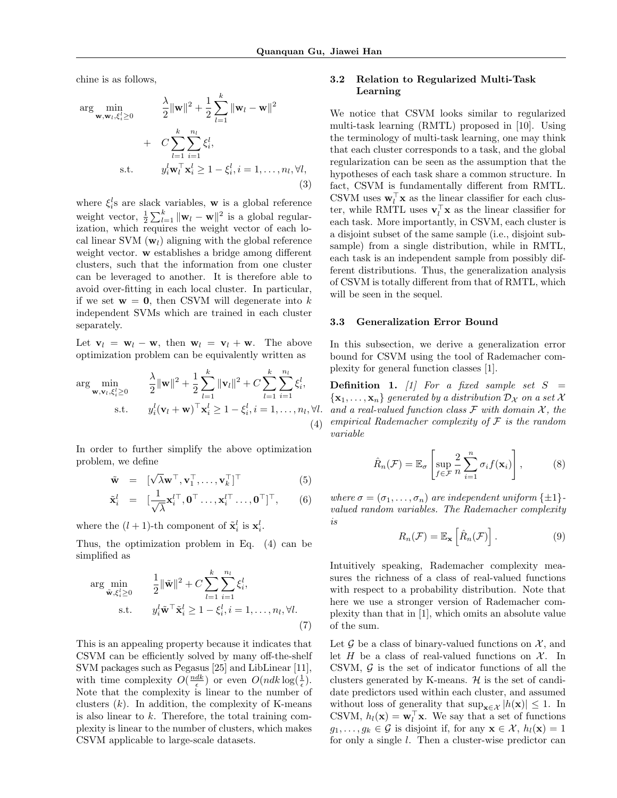chine is as follows,

$$
\arg\min_{\mathbf{w}, \mathbf{w}_l, \xi_i^l \ge 0} \qquad \frac{\lambda}{2} \|\mathbf{w}\|^2 + \frac{1}{2} \sum_{l=1}^k \|\mathbf{w}_l - \mathbf{w}\|^2
$$
  
+  $C \sum_{l=1}^k \sum_{i=1}^{n_l} \xi_i^l$ ,  
s.t.  $y_i^l \mathbf{w}_l^\top \mathbf{x}_i^l \ge 1 - \xi_i^l, i = 1, ..., n_l, \forall l,$   
(3)

where  $\xi_i^l$  are slack variables, **w** is a global reference weight vector,  $\frac{1}{2} \sum_{l=1}^{k} ||\mathbf{w}_l - \mathbf{w}||^2$  is a global regularization, which requires the weight vector of each local linear SVM (**w***l*) aligning with the global reference weight vector. **w** establishes a bridge among different clusters, such that the information from one cluster can be leveraged to another. It is therefore able to avoid over-fitting in each local cluster. In particular, if we set  $w = 0$ , then CSVM will degenerate into k independent SVMs which are trained in each cluster separately.

Let  $\mathbf{v}_l = \mathbf{w}_l - \mathbf{w}$ , then  $\mathbf{w}_l = \mathbf{v}_l + \mathbf{w}$ . The above optimization problem can be equivalently written as

$$
\arg\min_{\mathbf{w},\mathbf{v}_l,\xi_i^l\geq 0} \qquad \frac{\lambda}{2} \|\mathbf{w}\|^2 + \frac{1}{2} \sum_{l=1}^k \|\mathbf{v}_l\|^2 + C \sum_{l=1}^k \sum_{i=1}^{n_l} \xi_i^l,
$$
  
s.t. 
$$
y_i^l(\mathbf{v}_l + \mathbf{w})^\top \mathbf{x}_i^l \geq 1 - \xi_i^l, i = 1,\ldots, n_l, \forall l.
$$

$$
(4)
$$

In order to further simplify the above optimization problem, we define

$$
\tilde{\mathbf{w}} = [\sqrt{\lambda} \mathbf{w}^{\top}, \mathbf{v}_1^{\top}, \dots, \mathbf{v}_k^{\top}]^{\top}
$$
(5)

$$
\tilde{\mathbf{x}}_i^l = [\frac{1}{\sqrt{\lambda}} \mathbf{x}_i^{l\top}, \mathbf{0}^\top \dots, \mathbf{x}_i^{l\top} \dots, \mathbf{0}^\top]^\top, \qquad (6)
$$

where the  $(l + 1)$ -th component of  $\tilde{\mathbf{x}}_i^l$  is  $\mathbf{x}_i^l$ .

Thus, the optimization problem in Eq. (4) can be simplified as

$$
\arg\min_{\tilde{\mathbf{w}},\xi_i^l\geq 0} \qquad \frac{1}{2} \|\tilde{\mathbf{w}}\|^2 + C \sum_{l=1}^k \sum_{i=1}^{n_l} \xi_i^l,
$$
\n
$$
\text{s.t.} \qquad y_i^l \tilde{\mathbf{w}}^\top \tilde{\mathbf{x}}_i^l \geq 1 - \xi_i^l, i = 1,\dots, n_l, \forall l.
$$
\n
$$
(7)
$$

This is an appealing property because it indicates that CSVM can be efficiently solved by many off-the-shelf SVM packages such as Pegasus [25] and LibLinear [11], with time complexity  $O(\frac{ndk}{\epsilon})$  or even  $O(ndk \log(\frac{1}{\epsilon}).$ Note that the complexity is linear to the number of clusters  $(k)$ . In addition, the complexity of K-means is also linear to *k*. Therefore, the total training complexity is linear to the number of clusters, which makes CSVM applicable to large-scale datasets.

# **3.2 Relation to Regularized Multi-Task Learning**

We notice that CSVM looks similar to regularized multi-task learning (RMTL) proposed in [10]. Using the terminology of multi-task learning, one may think that each cluster corresponds to a task, and the global regularization can be seen as the assumption that the hypotheses of each task share a common structure. In fact, CSVM is fundamentally different from RMTL. CSVM uses  $\mathbf{w}_l^{\dagger} \mathbf{x}$  as the linear classifier for each cluster, while RMTL uses  $\mathbf{v}_l^{\dagger} \mathbf{x}$  as the linear classifier for each task. More importantly, in CSVM, each cluster is a disjoint subset of the same sample (i.e., disjoint subsample) from a single distribution, while in RMTL, each task is an independent sample from possibly different distributions. Thus, the generalization analysis of CSVM is totally different from that of RMTL, which will be seen in the sequel.

#### **3.3 Generalization Error Bound**

In this subsection, we derive a generalization error bound for CSVM using the tool of Rademacher complexity for general function classes [1].

**Definition 1.** [1] For a fixed sample set  $S =$  $\{x_1, \ldots, x_n\}$  *generated by a distribution*  $D_X$  *on a set*  $X$ and a real-valued function class  $\mathcal F$  with domain  $\mathcal X$ , the *empirical Rademacher complexity of F is the random variable*

$$
\hat{R}_n(\mathcal{F}) = \mathbb{E}_{\sigma} \left[ \sup_{f \in \mathcal{F}} \frac{2}{n} \sum_{i=1}^n \sigma_i f(\mathbf{x}_i) \right], \tag{8}
$$

*where*  $\sigma = (\sigma_1, \ldots, \sigma_n)$  *are independent uniform*  $\{\pm 1\}$ *valued random variables. The Rademacher complexity is*

$$
R_n(\mathcal{F}) = \mathbb{E}_{\mathbf{x}} \left[ \hat{R}_n(\mathcal{F}) \right]. \tag{9}
$$

Intuitively speaking, Rademacher complexity measures the richness of a class of real-valued functions with respect to a probability distribution. Note that here we use a stronger version of Rademacher complexity than that in [1], which omits an absolute value of the sum.

Let  $\mathcal G$  be a class of binary-valued functions on  $\mathcal X$ , and let *H* be a class of real-valued functions on  $\mathcal{X}$ . In CSVM, *G* is the set of indicator functions of all the clusters generated by K-means. *H* is the set of candidate predictors used within each cluster, and assumed without loss of generality that  $\sup_{\mathbf{x} \in \mathcal{X}} |h(\mathbf{x})| \leq 1$ . In CSVM,  $h_l(\mathbf{x}) = \mathbf{w}_l^\top \mathbf{x}$ . We say that a set of functions  $g_1, \ldots, g_k \in \mathcal{G}$  is disjoint if, for any  $\mathbf{x} \in \mathcal{X}$ ,  $h_l(\mathbf{x}) = 1$ for only a single *l*. Then a cluster-wise predictor can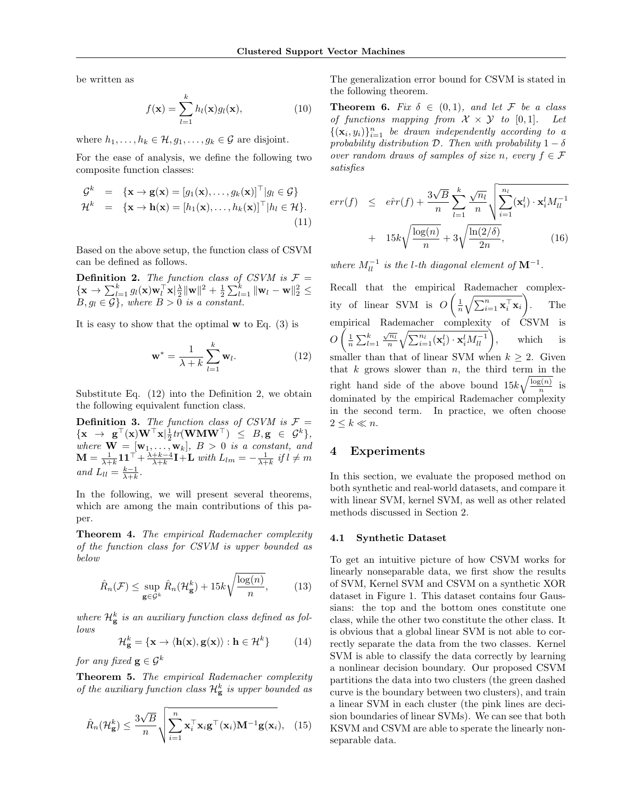be written as

$$
f(\mathbf{x}) = \sum_{l=1}^{k} h_l(\mathbf{x}) g_l(\mathbf{x}),
$$
\n(10)

where  $h_1, \ldots, h_k \in \mathcal{H}, g_1, \ldots, g_k \in \mathcal{G}$  are disjoint.

For the ease of analysis, we define the following two composite function classes:

$$
\mathcal{G}^k = \{ \mathbf{x} \to \mathbf{g}(\mathbf{x}) = [g_1(\mathbf{x}), \dots, g_k(\mathbf{x})]^\top | g_l \in \mathcal{G} \}
$$
  
\n
$$
\mathcal{H}^k = \{ \mathbf{x} \to \mathbf{h}(\mathbf{x}) = [h_1(\mathbf{x}), \dots, h_k(\mathbf{x})]^\top | h_l \in \mathcal{H} \}. \tag{11}
$$

Based on the above setup, the function class of CSVM can be defined as follows.

**Definition 2.** *The function class of CSVM is*  $\mathcal{F} =$  $\{\mathbf x \to \sum_{l=1}^k g_l(\mathbf x) \mathbf w_l^\top \mathbf x|_2^\lambda \|\mathbf w\|^2 + \frac{1}{2}\sum_{l=1}^k \|\mathbf w_l - \mathbf w\|_2^2 \leq$  $B, g_l \in \mathcal{G}$ , where  $B > 0$  *is a constant.* 

It is easy to show that the optimal **w** to Eq. (3) is

$$
\mathbf{w}^* = \frac{1}{\lambda + k} \sum_{l=1}^k \mathbf{w}_l.
$$
 (12)

Substitute Eq. (12) into the Definition 2, we obtain the following equivalent function class.

**Definition 3.** The function class of CSVM is  $\mathcal{F} =$  $\{ \mathbf{x} \rightarrow \mathbf{g}^\top(\mathbf{x}) \mathbf{W}^\top \mathbf{x} | \frac{1}{2} tr(\mathbf{W} \mathbf{M} \mathbf{W}^\top) \leq B, \mathbf{g} \in \mathcal{G}^k \},$  $\mathbf{W} = [\mathbf{w}_1, \dots, \mathbf{w}_k], B > 0$  *is a constant, and*  $\mathbf{M} = \frac{1}{\lambda + k} \mathbf{1} \mathbf{1}^\top + \frac{\lambda + k - 4}{\lambda + k} \mathbf{I} + \mathbf{L}$  with  $L_{lm} = -\frac{1}{\lambda + k}$  if  $l \neq m$  $and$   $L_{ll} = \frac{k-1}{\lambda+k}$ .

In the following, we will present several theorems, which are among the main contributions of this paper.

**Theorem 4.** *The empirical Rademacher complexity of the function class for CSVM is upper bounded as below*

$$
\hat{R}_n(\mathcal{F}) \le \sup_{\mathbf{g} \in \mathcal{G}^k} \hat{R}_n(\mathcal{H}_\mathbf{g}^k) + 15k\sqrt{\frac{\log(n)}{n}},\tag{13}
$$

where  $\mathcal{H}_{\mathbf{g}}^k$  is an auxiliary function class defined as fol*lows*

$$
\mathcal{H}_{\mathbf{g}}^{k} = \{ \mathbf{x} \to \langle \mathbf{h}(\mathbf{x}), \mathbf{g}(\mathbf{x}) \rangle : \mathbf{h} \in \mathcal{H}^{k} \} \tag{14}
$$

*for any fixed*  $\mathbf{g} \in \mathcal{G}^k$ 

**Theorem 5.** *The empirical Rademacher complexity of the auxiliary function class*  $\mathcal{H}_{\mathbf{g}}^{k}$  *is upper bounded as* 

$$
\hat{R}_n(\mathcal{H}_{\mathbf{g}}^k) \le \frac{3\sqrt{B}}{n} \sqrt{\sum_{i=1}^n \mathbf{x}_i^{\top} \mathbf{x}_i \mathbf{g}^{\top}(\mathbf{x}_i) \mathbf{M}^{-1} \mathbf{g}(\mathbf{x}_i)}, \quad (15)
$$

The generalization error bound for CSVM is stated in the following theorem.

**Theorem 6.** *Fix*  $\delta \in (0,1)$ *, and let F be a class of functions mapping from*  $X \times Y$  *to* [0,1]*.* Let  $\{(\mathbf{x}_i, y_i)\}_{i=1}^n$  *be drawn independently according to a probability distribution*  $\mathcal{D}$ *. Then with probability*  $1 - \delta$ *over random draws of samples of size n*, every  $f \in \mathcal{F}$ *satisfies*

$$
err(f) \le \hat{err}(f) + \frac{3\sqrt{B}}{n} \sum_{l=1}^{k} \frac{\sqrt{n_l}}{n} \sqrt{\sum_{i=1}^{n_l} (\mathbf{x}_i^l) \cdot \mathbf{x}_i^l M_{ll}^{-1}}
$$

$$
+ 15k\sqrt{\frac{\log(n)}{n}} + 3\sqrt{\frac{\ln(2/\delta)}{2n}}, \qquad (16)
$$

*where*  $M_{ll}^{-1}$  *is the l-th diagonal element of*  $\mathbf{M}^{-1}$ *.* 

Recall that the empirical Rademacher complexity of linear SVM is *O*  $\left(\frac{1}{n}\sqrt{\sum_{i=1}^{n} \mathbf{x}_i^{\top} \mathbf{x}_i}\right)$  $\setminus$ . The empirical Rademacher complexity of CSVM is *O*  $\left(\frac{1}{n}\sum_{l=1}^{k}\frac{\sqrt{n_l}}{n}\right)$  $\frac{\sqrt{n_l}}{n} \sqrt{\sum_{i=1}^{n_l} (\mathbf{x}_i^l) \cdot \mathbf{x}_i^l M_{ll}^{-1}}$ , which is smaller than that of linear SVM when  $k \geq 2$ . Given that *k* grows slower than *n*, the third term in the right hand side of the above bound  $15k\sqrt{\frac{\log(n)}{n}}$  $\frac{s(n)}{n}$  is dominated by the empirical Rademacher complexity in the second term. In practice, we often choose  $2 \leq k \ll n$ .

# **4 Experiments**

In this section, we evaluate the proposed method on both synthetic and real-world datasets, and compare it with linear SVM, kernel SVM, as well as other related methods discussed in Section 2.

#### **4.1 Synthetic Dataset**

To get an intuitive picture of how CSVM works for linearly nonseparable data, we first show the results of SVM, Kernel SVM and CSVM on a synthetic XOR dataset in Figure 1. This dataset contains four Gaussians: the top and the bottom ones constitute one class, while the other two constitute the other class. It is obvious that a global linear SVM is not able to correctly separate the data from the two classes. Kernel SVM is able to classify the data correctly by learning a nonlinear decision boundary. Our proposed CSVM partitions the data into two clusters (the green dashed curve is the boundary between two clusters), and train a linear SVM in each cluster (the pink lines are decision boundaries of linear SVMs). We can see that both KSVM and CSVM are able to sperate the linearly nonseparable data.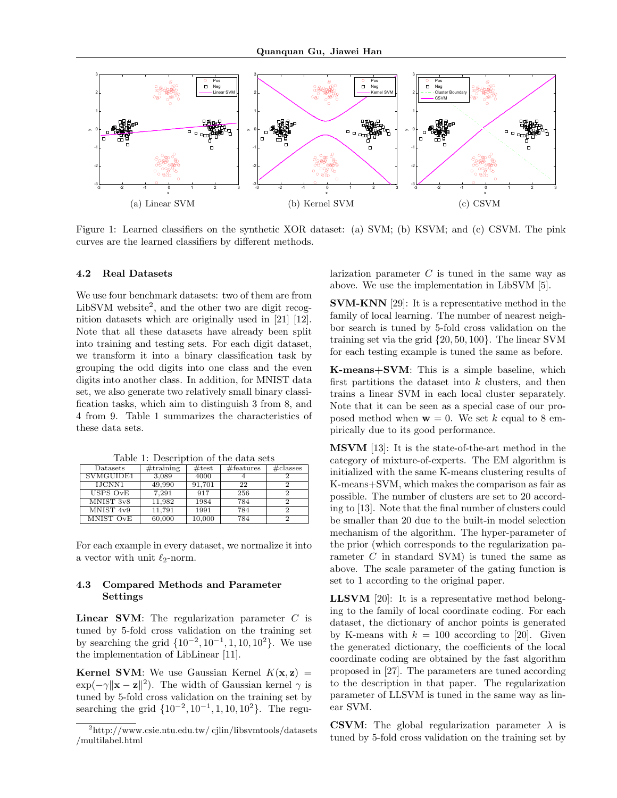

Figure 1: Learned classifiers on the synthetic XOR dataset: (a) SVM; (b) KSVM; and (c) CSVM. The pink curves are the learned classifiers by different methods.

#### **4.2 Real Datasets**

We use four benchmark datasets: two of them are from LibSVM website<sup>2</sup>, and the other two are digit recognition datasets which are originally used in [21] [12]. Note that all these datasets have already been split into training and testing sets. For each digit dataset, we transform it into a binary classification task by grouping the odd digits into one class and the even digits into another class. In addition, for MNIST data set, we also generate two relatively small binary classification tasks, which aim to distinguish 3 from 8, and 4 from 9. Table 1 summarizes the characteristics of these data sets.

| Table 1: Description of the data sets |                                        |  |  |  |  |  |  |
|---------------------------------------|----------------------------------------|--|--|--|--|--|--|
| $\mathop{\text{Datasets}}$            | #training #test   #features   #classes |  |  |  |  |  |  |

VMGUIDE1 3,089 4000 4 IJCNN1 49,990 91,701 22 2

MNIST 3v8 11,982 1984 784

USPS  $OvE$  7.291 917

| MNIST 4v9                                                          | 11,791 | 1991   | 784 |  |
|--------------------------------------------------------------------|--------|--------|-----|--|
| MNIST OvE                                                          | 60,000 | 10.000 | 784 |  |
|                                                                    |        |        |     |  |
|                                                                    |        |        |     |  |
| $\Gamma$ on oo ola oxomaalo in oxomu dotogot uxo nomuoliga it inte |        |        |     |  |

For each example in every dataset, we normalize it into a vector with unit *ℓ*2-norm.

# **4.3 Compared Methods and Parameter Settings**

**Linear SVM**: The regularization parameter *C* is tuned by 5-fold cross validation on the training set by searching the grid *{*10*−*<sup>2</sup> *,* 10*−*<sup>1</sup> *,* 1*,* 10*,* 10<sup>2</sup>*}*. We use the implementation of LibLinear [11].

**Kernel SVM**: We use Gaussian Kernel  $K(\mathbf{x}, \mathbf{z})$  =  $\exp(-\gamma \|\mathbf{x} - \mathbf{z}\|^2)$ . The width of Gaussian kernel  $\gamma$  is tuned by 5-fold cross validation on the training set by searching the grid *{*10*−*<sup>2</sup> *,* 10*−*<sup>1</sup> *,* 1*,* 10*,* 10<sup>2</sup>*}*. The regularization parameter *C* is tuned in the same way as above. We use the implementation in LibSVM [5].

**SVM-KNN** [29]: It is a representative method in the family of local learning. The number of nearest neighbor search is tuned by 5-fold cross validation on the training set via the grid *{*20*,* 50*,* 100*}*. The linear SVM for each testing example is tuned the same as before.

**K-means+SVM**: This is a simple baseline, which first partitions the dataset into *k* clusters, and then trains a linear SVM in each local cluster separately. Note that it can be seen as a special case of our proposed method when  $\mathbf{w} = 0$ . We set *k* equal to 8 empirically due to its good performance.

**MSVM** [13]: It is the state-of-the-art method in the category of mixture-of-experts. The EM algorithm is initialized with the same K-means clustering results of K-means+SVM, which makes the comparison as fair as possible. The number of clusters are set to 20 according to [13]. Note that the final number of clusters could be smaller than 20 due to the built-in model selection mechanism of the algorithm. The hyper-parameter of the prior (which corresponds to the regularization parameter *C* in standard SVM) is tuned the same as above. The scale parameter of the gating function is set to 1 according to the original paper.

**LLSVM** [20]: It is a representative method belonging to the family of local coordinate coding. For each dataset, the dictionary of anchor points is generated by K-means with  $k = 100$  according to [20]. Given the generated dictionary, the coefficients of the local coordinate coding are obtained by the fast algorithm proposed in [27]. The parameters are tuned according to the description in that paper. The regularization parameter of LLSVM is tuned in the same way as linear SVM.

**CSVM**: The global regularization parameter  $\lambda$  is tuned by 5-fold cross validation on the training set by

<sup>2</sup>http://www.csie.ntu.edu.tw/ cjlin/libsvmtools/datasets /multilabel.html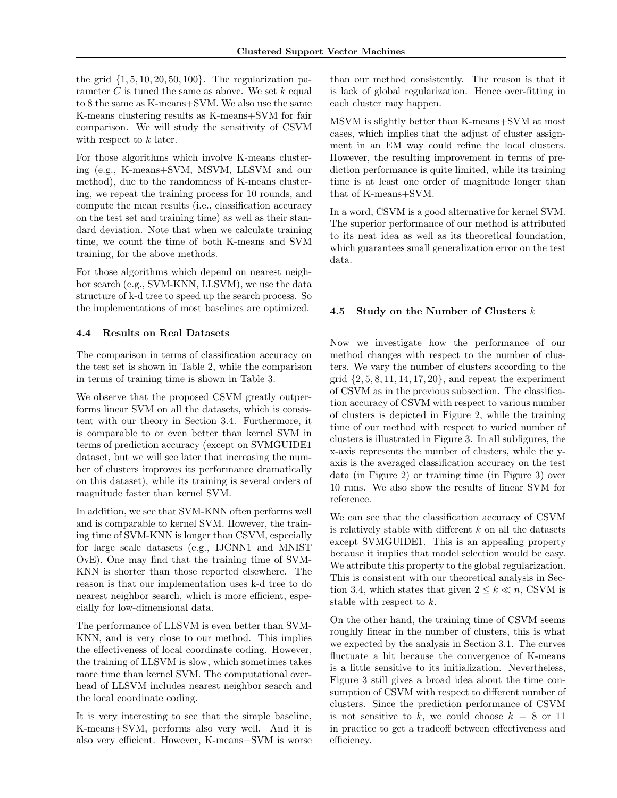the grid *{*1*,* 5*,* 10*,* 20*,* 50*,* 100*}*. The regularization parameter *C* is tuned the same as above. We set *k* equal to 8 the same as K-means+SVM. We also use the same K-means clustering results as K-means+SVM for fair comparison. We will study the sensitivity of CSVM with respect to *k* later.

For those algorithms which involve K-means clustering (e.g., K-means+SVM, MSVM, LLSVM and our method), due to the randomness of K-means clustering, we repeat the training process for 10 rounds, and compute the mean results (i.e., classification accuracy on the test set and training time) as well as their standard deviation. Note that when we calculate training time, we count the time of both K-means and SVM training, for the above methods.

For those algorithms which depend on nearest neighbor search (e.g., SVM-KNN, LLSVM), we use the data structure of k-d tree to speed up the search process. So the implementations of most baselines are optimized.

#### **4.4 Results on Real Datasets**

The comparison in terms of classification accuracy on the test set is shown in Table 2, while the comparison in terms of training time is shown in Table 3.

We observe that the proposed CSVM greatly outperforms linear SVM on all the datasets, which is consistent with our theory in Section 3.4. Furthermore, it is comparable to or even better than kernel SVM in terms of prediction accuracy (except on SVMGUIDE1 dataset, but we will see later that increasing the number of clusters improves its performance dramatically on this dataset), while its training is several orders of magnitude faster than kernel SVM.

In addition, we see that SVM-KNN often performs well and is comparable to kernel SVM. However, the training time of SVM-KNN is longer than CSVM, especially for large scale datasets (e.g., IJCNN1 and MNIST OvE). One may find that the training time of SVM-KNN is shorter than those reported elsewhere. The reason is that our implementation uses k-d tree to do nearest neighbor search, which is more efficient, especially for low-dimensional data.

The performance of LLSVM is even better than SVM-KNN, and is very close to our method. This implies the effectiveness of local coordinate coding. However, the training of LLSVM is slow, which sometimes takes more time than kernel SVM. The computational overhead of LLSVM includes nearest neighbor search and the local coordinate coding.

It is very interesting to see that the simple baseline, K-means+SVM, performs also very well. And it is also very efficient. However, K-means+SVM is worse than our method consistently. The reason is that it is lack of global regularization. Hence over-fitting in each cluster may happen.

MSVM is slightly better than K-means+SVM at most cases, which implies that the adjust of cluster assignment in an EM way could refine the local clusters. However, the resulting improvement in terms of prediction performance is quite limited, while its training time is at least one order of magnitude longer than that of K-means+SVM.

In a word, CSVM is a good alternative for kernel SVM. The superior performance of our method is attributed to its neat idea as well as its theoretical foundation, which guarantees small generalization error on the test data.

# **4.5 Study on the Number of Clusters** *k*

Now we investigate how the performance of our method changes with respect to the number of clusters. We vary the number of clusters according to the grid *{*2*,* 5*,* 8*,* 11*,* 14*,* 17*,* 20*}*, and repeat the experiment of CSVM as in the previous subsection. The classification accuracy of CSVM with respect to various number of clusters is depicted in Figure 2, while the training time of our method with respect to varied number of clusters is illustrated in Figure 3. In all subfigures, the x-axis represents the number of clusters, while the yaxis is the averaged classification accuracy on the test data (in Figure 2) or training time (in Figure 3) over 10 runs. We also show the results of linear SVM for reference.

We can see that the classification accuracy of CSVM is relatively stable with different *k* on all the datasets except SVMGUIDE1. This is an appealing property because it implies that model selection would be easy. We attribute this property to the global regularization. This is consistent with our theoretical analysis in Section 3.4, which states that given  $2 \leq k \leq n$ , CSVM is stable with respect to *k*.

On the other hand, the training time of CSVM seems roughly linear in the number of clusters, this is what we expected by the analysis in Section 3.1. The curves fluctuate a bit because the convergence of K-means is a little sensitive to its initialization. Nevertheless, Figure 3 still gives a broad idea about the time consumption of CSVM with respect to different number of clusters. Since the prediction performance of CSVM is not sensitive to k, we could choose  $k = 8$  or 11 in practice to get a tradeoff between effectiveness and efficiency.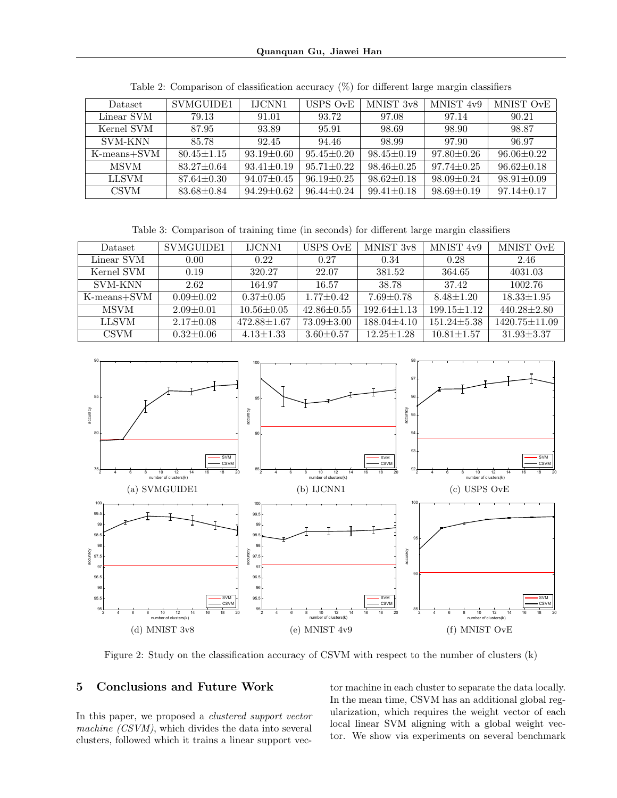# **Quanquan Gu, Jiawei Han**

| Dataset        | SVMGUIDE1        | <b>IJCNN1</b>    | USPS OvE         | MNIST 3v8        | MNIST 4v9        | MNIST OvE        |
|----------------|------------------|------------------|------------------|------------------|------------------|------------------|
| Linear SVM     | 79.13            | 91.01            | 93.72            | 97.08            | 97.14            | 90.21            |
| Kernel SVM     | 87.95            | 93.89            | 95.91            | 98.69            | 98.90            | 98.87            |
| <b>SVM-KNN</b> | 85.78            | 92.45            | 94.46            | 98.99            | 97.90            | 96.97            |
| K-means+SVM    | $80.45 \pm 1.15$ | $93.19 \pm 0.60$ | $95.45 \pm 0.20$ | $98.45 \pm 0.19$ | $97.80 \pm 0.26$ | $96.06 \pm 0.22$ |
| <b>MSVM</b>    | $83.27 \pm 0.64$ | $93.41 \pm 0.19$ | $95.71 \pm 0.22$ | $98.46 \pm 0.25$ | $97.74 \pm 0.25$ | $96.62 \pm 0.18$ |
| <b>LLSVM</b>   | $87.64 \pm 0.30$ | $94.07 \pm 0.45$ | $96.19 \pm 0.25$ | $98.62 \pm 0.18$ | $98.09 + 0.24$   | $98.91 \pm 0.09$ |
| <b>CSVM</b>    | $83.68 + 0.84$   | $94.29 \pm 0.62$ | $96.44 \pm 0.24$ | $99.41 \pm 0.18$ | $98.69 \pm 0.19$ | $97.14 \pm 0.17$ |

Table 2: Comparison of classification accuracy (%) for different large margin classifiers

Table 3: Comparison of training time (in seconds) for different large margin classifiers

| Dataset        | SVMGUIDE1       | <b>LICNN1</b>     | USPS OvE         | MNIST 3v8         | MNIST 4v9         | MNIST OvE           |
|----------------|-----------------|-------------------|------------------|-------------------|-------------------|---------------------|
| Linear SVM     | 0.00            | 0.22              | 0.27             | 0.34              | 0.28              | 2.46                |
| Kernel SVM     | 0.19            | 320.27            | 22.07            | 381.52            | 364.65            | 4031.03             |
| <b>SVM-KNN</b> | 2.62            | 164.97            | 16.57            | 38.78             | 37.42             | 1002.76             |
| $K-means+SVM$  | $0.09 + 0.02$   | $0.37 \pm 0.05$   | $1.77 + 0.42$    | $7.69 \pm 0.78$   | $8.48 \pm 1.20$   | $18.33 \pm 1.95$    |
| <b>MSVM</b>    | $2.09 + 0.01$   | $10.56 \pm 0.05$  | $42.86 \pm 0.55$ | $192.64 \pm 1.13$ | $199.15 \pm 1.12$ | $440.28 \pm 2.80$   |
| <b>LLSVM</b>   | $2.17 \pm 0.08$ | $472.88 \pm 1.67$ | $73.09 \pm 3.00$ | $188.04 \pm 4.10$ | $151.24 \pm 5.38$ | $1420.75 \pm 11.09$ |
| <b>CSVM</b>    | $0.32 + 0.06$   | $4.13 \pm 1.33$   | $3.60 + 0.57$    | $12.25 \pm 1.28$  | $10.81 \pm 1.57$  | $31.93 \pm 3.37$    |



Figure 2: Study on the classification accuracy of CSVM with respect to the number of clusters (k)

# **5 Conclusions and Future Work**

In this paper, we proposed a *clustered support vector machine (CSVM)*, which divides the data into several clusters, followed which it trains a linear support vector machine in each cluster to separate the data locally. In the mean time, CSVM has an additional global regularization, which requires the weight vector of each local linear SVM aligning with a global weight vector. We show via experiments on several benchmark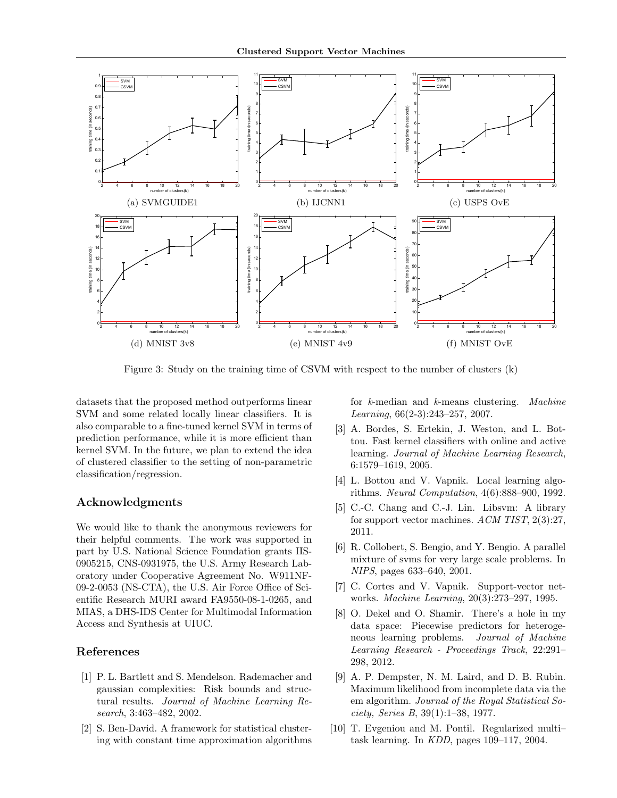

Figure 3: Study on the training time of CSVM with respect to the number of clusters (k)

datasets that the proposed method outperforms linear SVM and some related locally linear classifiers. It is also comparable to a fine-tuned kernel SVM in terms of prediction performance, while it is more efficient than kernel SVM. In the future, we plan to extend the idea of clustered classifier to the setting of non-parametric classification/regression.

# **Acknowledgments**

We would like to thank the anonymous reviewers for their helpful comments. The work was supported in part by U.S. National Science Foundation grants IIS-0905215, CNS-0931975, the U.S. Army Research Laboratory under Cooperative Agreement No. W911NF-09-2-0053 (NS-CTA), the U.S. Air Force Office of Scientific Research MURI award FA9550-08-1-0265, and MIAS, a DHS-IDS Center for Multimodal Information Access and Synthesis at UIUC.

# **References**

- [1] P. L. Bartlett and S. Mendelson. Rademacher and gaussian complexities: Risk bounds and structural results. *Journal of Machine Learning Research*, 3:463–482, 2002.
- [2] S. Ben-David. A framework for statistical clustering with constant time approximation algorithms

for *k*-median and *k*-means clustering. *Machine Learning*, 66(2-3):243–257, 2007.

- [3] A. Bordes, S. Ertekin, J. Weston, and L. Bottou. Fast kernel classifiers with online and active learning. *Journal of Machine Learning Research*, 6:1579–1619, 2005.
- [4] L. Bottou and V. Vapnik. Local learning algorithms. *Neural Computation*, 4(6):888–900, 1992.
- [5] C.-C. Chang and C.-J. Lin. Libsvm: A library for support vector machines. *ACM TIST*, 2(3):27, 2011.
- [6] R. Collobert, S. Bengio, and Y. Bengio. A parallel mixture of svms for very large scale problems. In *NIPS*, pages 633–640, 2001.
- [7] C. Cortes and V. Vapnik. Support-vector networks. *Machine Learning*, 20(3):273–297, 1995.
- [8] O. Dekel and O. Shamir. There's a hole in my data space: Piecewise predictors for heterogeneous learning problems. *Journal of Machine Learning Research - Proceedings Track*, 22:291– 298, 2012.
- [9] A. P. Dempster, N. M. Laird, and D. B. Rubin. Maximum likelihood from incomplete data via the em algorithm. *Journal of the Royal Statistical Society, Series B*, 39(1):1–38, 1977.
- [10] T. Evgeniou and M. Pontil. Regularized multi– task learning. In *KDD*, pages 109–117, 2004.